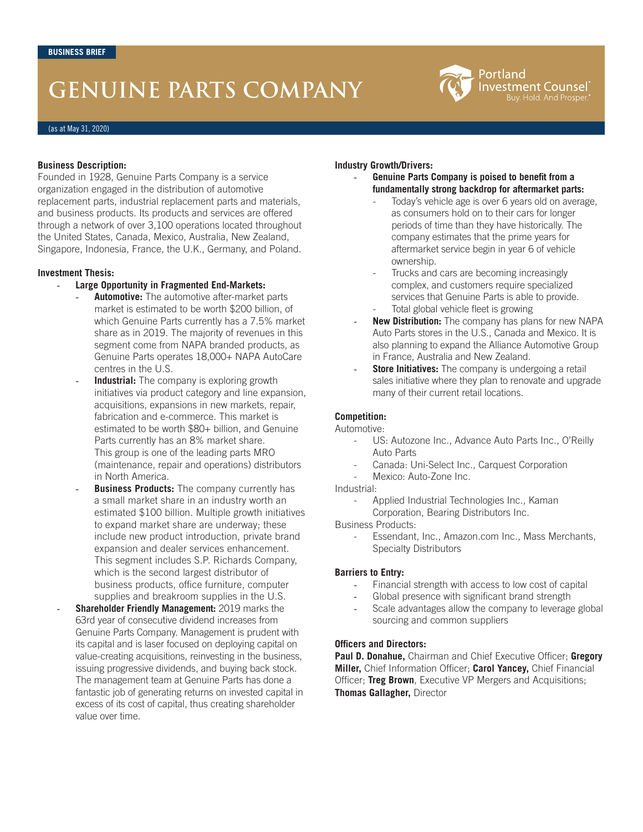# **GENUINE PARTS COMPANY**



(as at May 31, 2020)

## **Business Description:**

Founded in 1928, Genuine Parts Company is a service organization engaged in the distribution of automotive replacement parts, industrial replacement parts and materials, and business products. Its products and services are offered through a network of over 3,100 operations located throughout the United States, Canada, Mexico, Australia, New Zealand, Singapore, Indonesia, France, the U.K., Germany, and Poland.

## **Investment Thesis:**

- **Large Opportunity in Fragmented End-Markets:** 
	- **Automotive:** The automotive after-market parts market is estimated to be worth \$200 billion, of which Genuine Parts currently has a 7.5% market share as in 2019. The majority of revenues in this segment come from NAPA branded products, as Genuine Parts operates 18,000+ NAPA AutoCare centres in the U.S.
	- **Industrial:** The company is exploring growth initiatives via product category and line expansion, acquisitions, expansions in new markets, repair, fabrication and e-commerce. This market is estimated to be worth \$80+ billion, and Genuine Parts currently has an 8% market share. This group is one of the leading parts MRO (maintenance, repair and operations) distributors in North America.
	- **Business Products:** The company currently has a small market share in an industry worth an estimated \$100 billion. Multiple growth initiatives to expand market share are underway; these include new product introduction, private brand expansion and dealer services enhancement. This segment includes S.P. Richards Company, which is the second largest distributor of business products, office furniture, computer supplies and breakroom supplies in the U.S.
- **Shareholder Friendly Management: 2019 marks the** 63rd year of consecutive dividend increases from Genuine Parts Company. Management is prudent with its capital and is laser focused on deploying capital on value-creating acquisitions, reinvesting in the business, issuing progressive dividends, and buying back stock. The management team at Genuine Parts has done a fantastic job of generating returns on invested capital in excess of its cost of capital, thus creating shareholder value over time.

## **Industry Growth/Drivers:**

- **Genuine Parts Company is poised to benefit from a fundamentally strong backdrop for aftermarket parts:**
	- Today's vehicle age is over 6 years old on average, as consumers hold on to their cars for longer periods of time than they have historically. The company estimates that the prime years for aftermarket service begin in year 6 of vehicle ownership.
	- Trucks and cars are becoming increasingly complex, and customers require specialized services that Genuine Parts is able to provide.
	- Total global vehicle fleet is growing
- **New Distribution:** The company has plans for new NAPA Auto Parts stores in the U.S., Canada and Mexico. It is also planning to expand the Alliance Automotive Group in France, Australia and New Zealand.
- **Store Initiatives:** The company is undergoing a retail sales initiative where they plan to renovate and upgrade many of their current retail locations.

## **Competition:**

## Automotive:

- US: Autozone Inc., Advance Auto Parts Inc., O'Reilly Auto Parts
- Canada: Uni-Select Inc., Carquest Corporation
- Mexico: Auto-Zone Inc.

Industrial:

Applied Industrial Technologies Inc., Kaman Corporation, Bearing Distributors Inc.

Business Products:

Essendant, Inc., Amazon.com Inc., Mass Merchants, Specialty Distributors

## **Barriers to Entry:**

- Financial strength with access to low cost of capital
- Global presence with significant brand strength
- Scale advantages allow the company to leverage global sourcing and common suppliers

## **Officers and Directors:**

**Paul D. Donahue,** Chairman and Chief Executive Officer; **Gregory Miller,** Chief Information Officer; **Carol Yancey,** Chief Financial Officer; **Treg Brown**, Executive VP Mergers and Acquisitions; **Thomas Gallagher,** Director